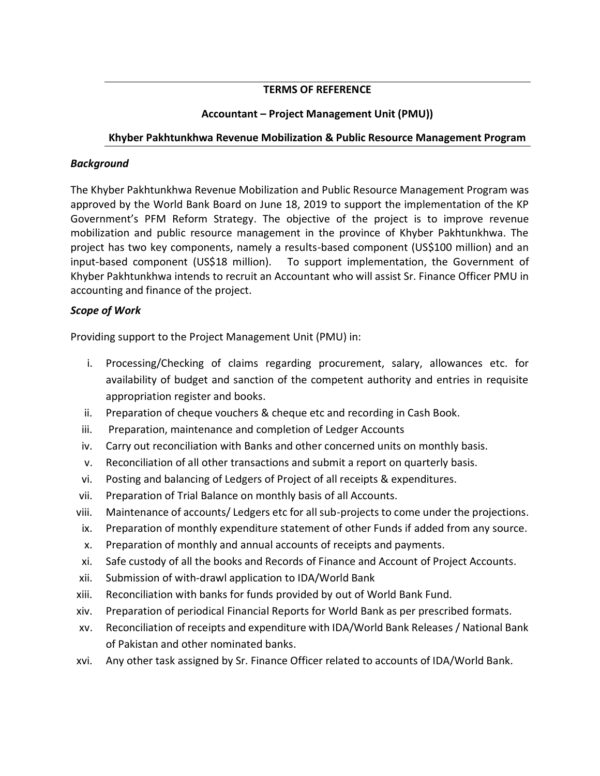## **TERMS OF REFERENCE**

## **Accountant – Project Management Unit (PMU))**

## **Khyber Pakhtunkhwa Revenue Mobilization & Public Resource Management Program**

#### *Background*

The Khyber Pakhtunkhwa Revenue Mobilization and Public Resource Management Program was approved by the World Bank Board on June 18, 2019 to support the implementation of the KP Government's PFM Reform Strategy. The objective of the project is to improve revenue mobilization and public resource management in the province of Khyber Pakhtunkhwa. The project has two key components, namely a results-based component (US\$100 million) and an input-based component (US\$18 million). To support implementation, the Government of Khyber Pakhtunkhwa intends to recruit an Accountant who will assist Sr. Finance Officer PMU in accounting and finance of the project.

### *Scope of Work*

Providing support to the Project Management Unit (PMU) in:

- i. Processing/Checking of claims regarding procurement, salary, allowances etc. for availability of budget and sanction of the competent authority and entries in requisite appropriation register and books.
- ii. Preparation of cheque vouchers & cheque etc and recording in Cash Book.
- iii. Preparation, maintenance and completion of Ledger Accounts
- iv. Carry out reconciliation with Banks and other concerned units on monthly basis.
- v. Reconciliation of all other transactions and submit a report on quarterly basis.
- vi. Posting and balancing of Ledgers of Project of all receipts & expenditures.
- vii. Preparation of Trial Balance on monthly basis of all Accounts.
- viii. Maintenance of accounts/ Ledgers etc for all sub-projects to come under the projections.
- ix. Preparation of monthly expenditure statement of other Funds if added from any source.
- x. Preparation of monthly and annual accounts of receipts and payments.
- xi. Safe custody of all the books and Records of Finance and Account of Project Accounts.
- xii. Submission of with-drawl application to IDA/World Bank
- xiii. Reconciliation with banks for funds provided by out of World Bank Fund.
- xiv. Preparation of periodical Financial Reports for World Bank as per prescribed formats.
- xv. Reconciliation of receipts and expenditure with IDA/World Bank Releases / National Bank of Pakistan and other nominated banks.
- xvi. Any other task assigned by Sr. Finance Officer related to accounts of IDA/World Bank.